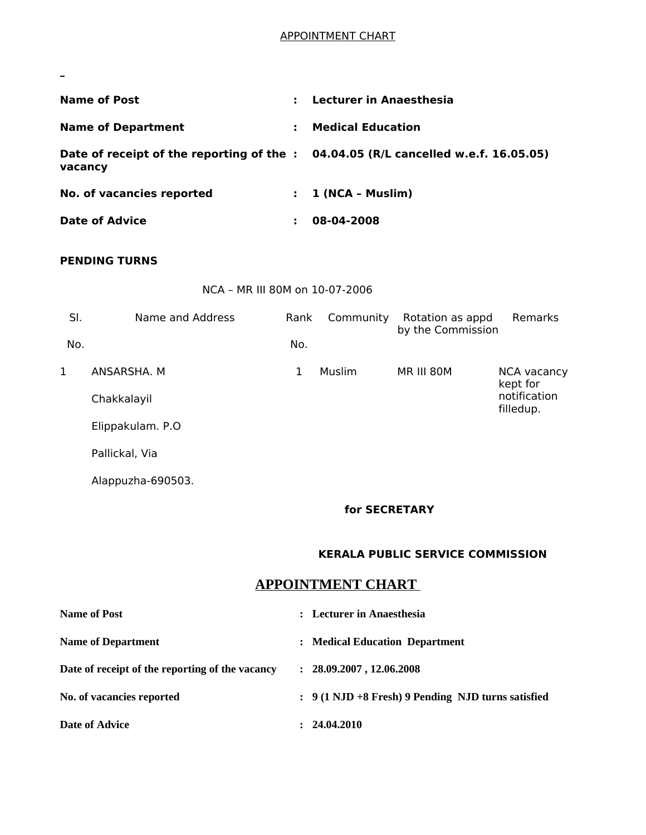## APPOINTMENT CHART

| <b>Name of Post</b>       | ÷. | Lecturer in Anaesthesia                                                            |
|---------------------------|----|------------------------------------------------------------------------------------|
| <b>Name of Department</b> | ÷. | <b>Medical Education</b>                                                           |
| vacancy                   |    | Date of receipt of the reporting of the : 04.04.05 (R/L cancelled w.e.f. 16.05.05) |
| No. of vacancies reported | ÷. | 1 (NCA - Muslim)                                                                   |
| <b>Date of Advice</b>     |    | 08-04-2008                                                                         |

#### **PENDING TURNS**

 $\overline{\phantom{0}}$ 

NCA – MR III 80M on 10-07-2006

| SI. | Name and Address  | Rank | Community | Rotation as appd<br>by the Commission | Remarks                   |
|-----|-------------------|------|-----------|---------------------------------------|---------------------------|
| No. |                   | No.  |           |                                       |                           |
| 1   | ANSARSHA, M       | 1    | Muslim    | MR III 80M                            | NCA vacancy<br>kept for   |
|     | Chakkalayil       |      |           |                                       | notification<br>filledup. |
|     | Elippakulam. P.O. |      |           |                                       |                           |
|     | Pallickal, Via    |      |           |                                       |                           |

Alappuzha-690503.

#### **for SECRETARY**

#### **KERALA PUBLIC SERVICE COMMISSION**

# **APPOINTMENT CHART**

| Name of Post                                    | : Lecturer in Anaesthesia                          |
|-------------------------------------------------|----------------------------------------------------|
| <b>Name of Department</b>                       | : Medical Education Department                     |
| Date of receipt of the reporting of the vacancy | : 28.09.2007, 12.06.2008                           |
| No. of vacancies reported                       | : 9 (1 NJD +8 Fresh) 9 Pending NJD turns satisfied |
| <b>Date of Advice</b>                           | 24.04.2010                                         |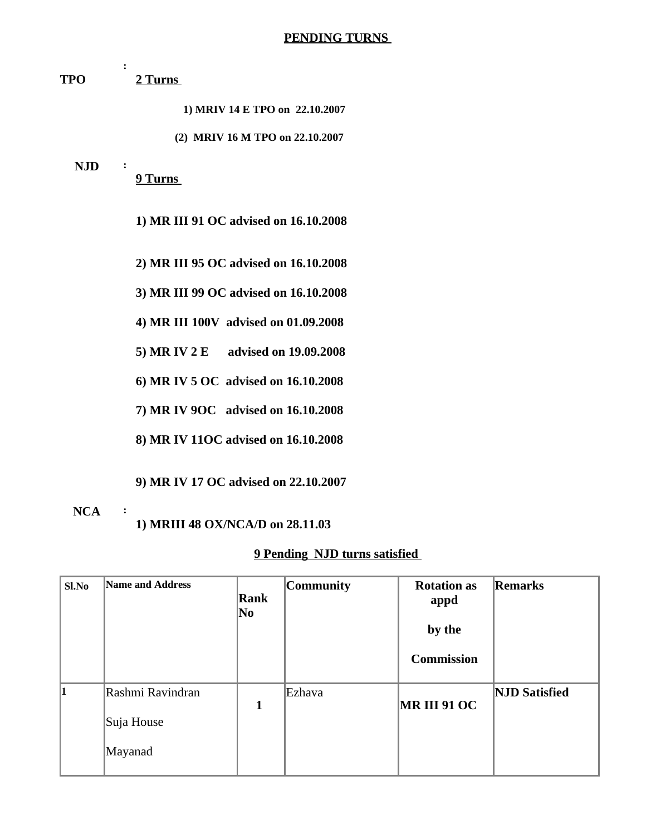**TPO : 2 Turns** 

**1) MRIV 14 E TPO on 22.10.2007** 

**(2) MRIV 16 M TPO on 22.10.2007** 

#### **NJD :**

**9 Turns** 

**1) MR III 91 OC advised on 16.10.2008**

**2) MR III 95 OC advised on 16.10.2008**

**3) MR III 99 OC advised on 16.10.2008** 

**4) MR III 100V advised on 01.09.2008** 

**5) MR IV 2 E advised on 19.09.2008** 

**6) MR IV 5 OC advised on 16.10.2008** 

**7) MR IV 9OC advised on 16.10.2008** 

**8) MR IV 11OC advised on 16.10.2008** 

**9) MR IV 17 OC advised on 22.10.2007**

### **NCA :**

**1) MRIII 48 OX/NCA/D on 28.11.03**

### **9 Pending NJD turns satisfied**

| Sl.No     | Name and Address                          | Rank<br>No | <b>Community</b> | <b>Rotation as</b><br>appd<br>by the<br><b>Commission</b> | Remarks              |
|-----------|-------------------------------------------|------------|------------------|-----------------------------------------------------------|----------------------|
| $\vert$ 1 | Rashmi Ravindran<br>Suja House<br>Mayanad | 1          | Ezhava           | <b>MR III 91 OC</b>                                       | <b>NJD Satisfied</b> |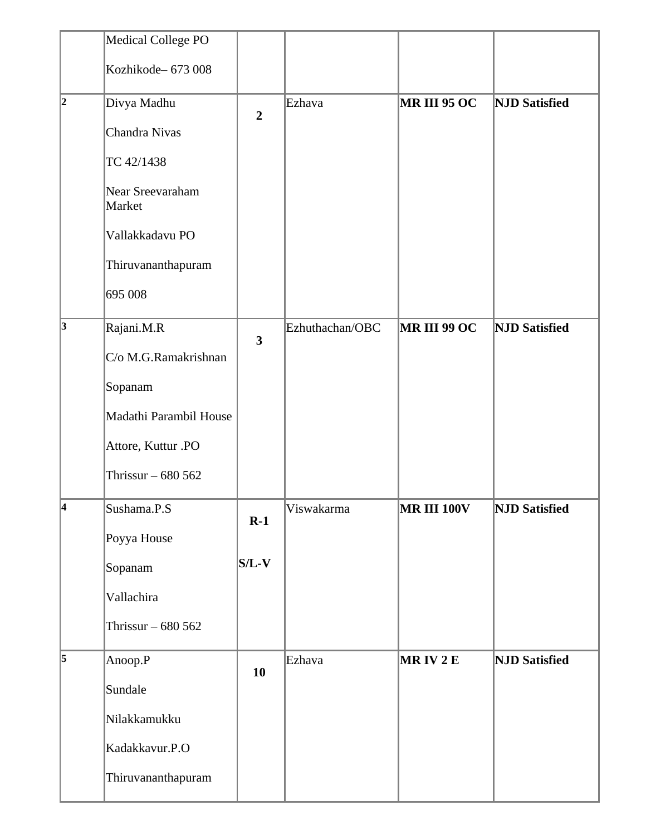|   | <b>Medical College PO</b>  |                |                 |                    |                      |
|---|----------------------------|----------------|-----------------|--------------------|----------------------|
|   | Kozhikode-673008           |                |                 |                    |                      |
| 2 | Divya Madhu                | $\overline{2}$ | Ezhava          | MR III 95 OC       | <b>NJD Satisfied</b> |
|   | Chandra Nivas              |                |                 |                    |                      |
|   | TC 42/1438                 |                |                 |                    |                      |
|   | Near Sreevaraham<br>Market |                |                 |                    |                      |
|   | Vallakkadavu PO            |                |                 |                    |                      |
|   | Thiruvananthapuram         |                |                 |                    |                      |
|   | 695 008                    |                |                 |                    |                      |
| 3 | Rajani.M.R                 | 3              | Ezhuthachan/OBC | MR III 99 OC       | <b>NJD Satisfied</b> |
|   | C/o M.G.Ramakrishnan       |                |                 |                    |                      |
|   | Sopanam                    |                |                 |                    |                      |
|   | Madathi Parambil House     |                |                 |                    |                      |
|   | Attore, Kuttur .PO         |                |                 |                    |                      |
|   | Thrissur $-680562$         |                |                 |                    |                      |
| 4 | Sushama.P.S                | $R-1$          | Viswakarma      | <b>MR III 100V</b> | <b>NJD</b> Satisfied |
|   | Poyya House                |                |                 |                    |                      |
|   | Sopanam                    | $S/L-V$        |                 |                    |                      |
|   | Vallachira                 |                |                 |                    |                      |
|   | Thrissur - 680 562         |                |                 |                    |                      |
| 5 | Anoop.P                    | 10             | Ezhava          | MRIV2E             | <b>NJD</b> Satisfied |
|   | Sundale                    |                |                 |                    |                      |
|   | Nilakkamukku               |                |                 |                    |                      |
|   | Kadakkavur.P.O             |                |                 |                    |                      |
|   | Thiruvananthapuram         |                |                 |                    |                      |
|   |                            |                |                 |                    |                      |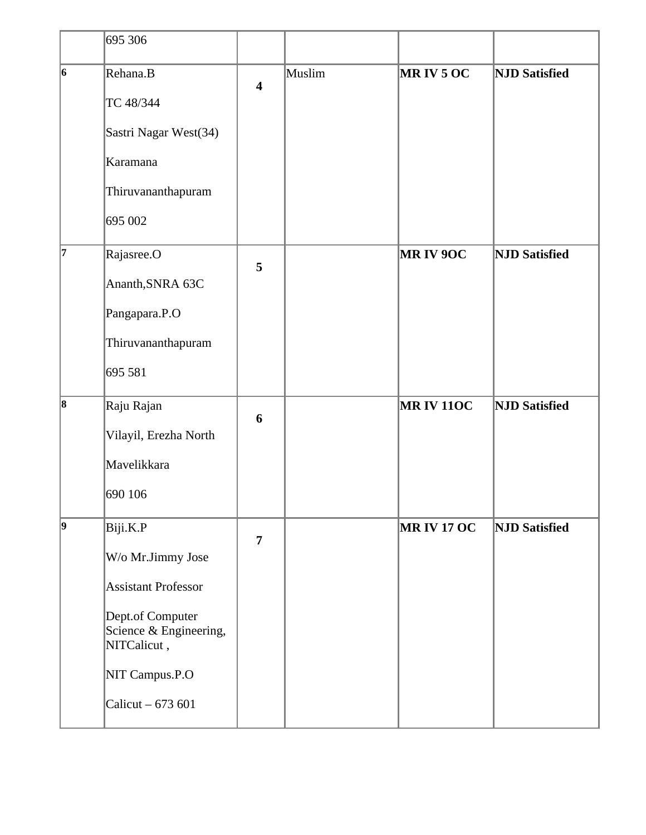|             | 695 306                                                   |                         |        |                   |                      |
|-------------|-----------------------------------------------------------|-------------------------|--------|-------------------|----------------------|
| 6           | Rehana.B                                                  | $\overline{\mathbf{4}}$ | Muslim | MRIV5OC           | <b>NJD Satisfied</b> |
|             | TC 48/344                                                 |                         |        |                   |                      |
|             | Sastri Nagar West(34)                                     |                         |        |                   |                      |
|             | Karamana                                                  |                         |        |                   |                      |
|             | Thiruvananthapuram                                        |                         |        |                   |                      |
|             | 695 002                                                   |                         |        |                   |                      |
| 17          | Rajasree.O                                                | 5                       |        | <b>MRIV 9OC</b>   | <b>NJD Satisfied</b> |
|             | Ananth, SNRA 63C                                          |                         |        |                   |                      |
|             | Pangapara.P.O                                             |                         |        |                   |                      |
|             | Thiruvananthapuram                                        |                         |        |                   |                      |
|             | 695 581                                                   |                         |        |                   |                      |
| 8           | Raju Rajan                                                | $6\phantom{1}6$         |        | <b>MRIV 110C</b>  | <b>NJD Satisfied</b> |
|             | Vilayil, Erezha North                                     |                         |        |                   |                      |
|             | Mavelikkara                                               |                         |        |                   |                      |
|             | 690 106                                                   |                         |        |                   |                      |
| $ 9\rangle$ | Biji.K.P                                                  | $\overline{7}$          |        | <b>MRIV 17 OC</b> | <b>NJD Satisfied</b> |
|             | W/o Mr.Jimmy Jose                                         |                         |        |                   |                      |
|             | <b>Assistant Professor</b>                                |                         |        |                   |                      |
|             | Dept.of Computer<br>Science & Engineering,<br>NITCalicut, |                         |        |                   |                      |
|             | NIT Campus.P.O                                            |                         |        |                   |                      |
|             | Calicut - 673 601                                         |                         |        |                   |                      |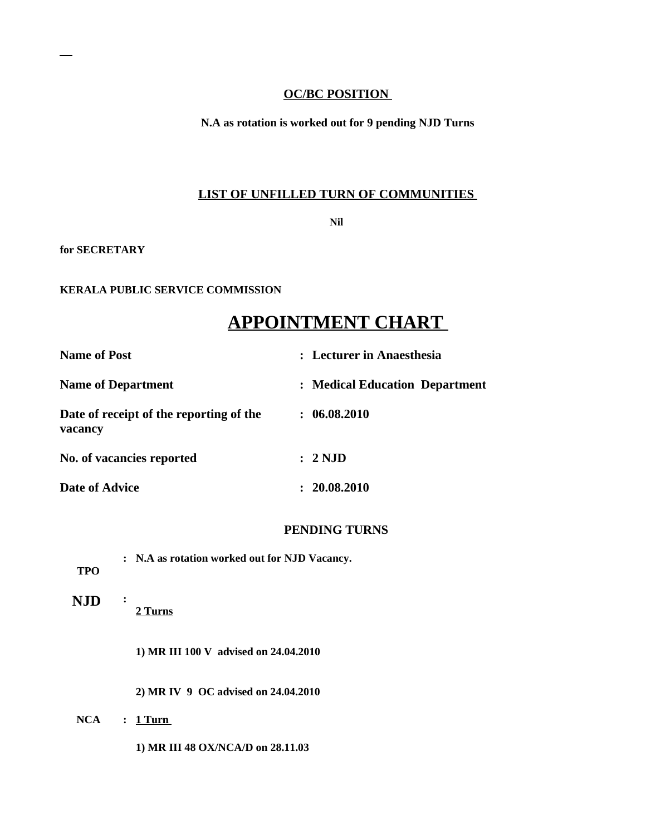### **OC/BC POSITION**

**N.A as rotation is worked out for 9 pending NJD Turns**

## **LIST OF UNFILLED TURN OF COMMUNITIES**

**Nil** 

**for SECRETARY** 

#### **KERALA PUBLIC SERVICE COMMISSION**

# **APPOINTMENT CHART**

| <b>Name of Post</b>                                | : Lecturer in Anaesthesia      |
|----------------------------------------------------|--------------------------------|
| <b>Name of Department</b>                          | : Medical Education Department |
| Date of receipt of the reporting of the<br>vacancy | : 06.08.2010                   |
| No. of vacancies reported                          | : 2ND                          |
| <b>Date of Advice</b>                              | : 20.08.2010                   |

## **PENDING TURNS**

| TPO        | : N.A as rotation worked out for NJD Vacancy. |
|------------|-----------------------------------------------|
| <b>NJD</b> | $\ddot{\cdot}$<br>2 Turns                     |
|            | 1) MR III 100 V advised on 24.04.2010         |
|            | 2) MR IV 9 OC advised on 24.04.2010           |
| NCA        | $: 1$ Turn                                    |
|            | 1) MR III 48 OX/NCA/D on 28.11.03             |